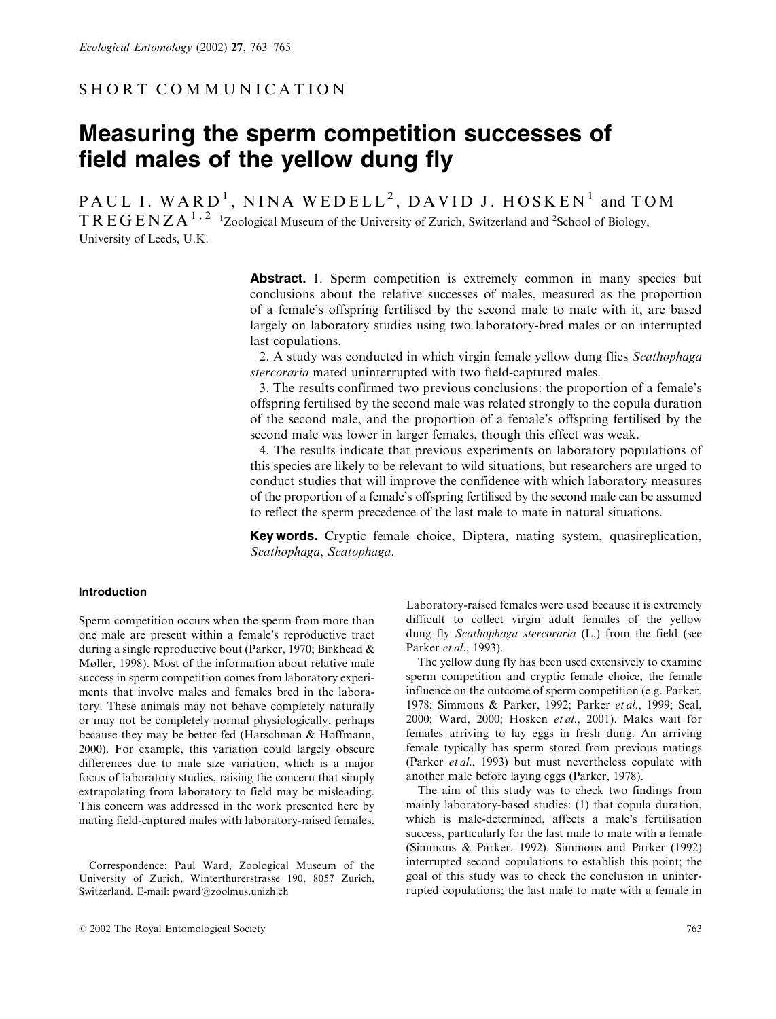# SHORT COMMUNICATION

# Measuring the sperm competition successes of field males of the yellow dung fly

PAUL I. WARD<sup>1</sup>, NINA WEDELL<sup>2</sup>, DAVID J. HOSKEN<sup>1</sup> and TOM TREGENZA<sup>1,2</sup><sup>1</sup>Zoological Museum of the University of Zurich, Switzerland and <sup>2</sup>School of Biology, University of Leeds, U.K.

> Abstract. 1. Sperm competition is extremely common in many species but conclusions about the relative successes of males, measured as the proportion of a female's offspring fertilised by the second male to mate with it, are based largely on laboratory studies using two laboratory-bred males or on interrupted last copulations.

> 2. A study was conducted in which virgin female yellow dung flies Scathophaga stercoraria mated uninterrupted with two field-captured males.

> 3. The results confirmed two previous conclusions: the proportion of a female's offspring fertilised by the second male was related strongly to the copula duration of the second male, and the proportion of a female's offspring fertilised by the second male was lower in larger females, though this effect was weak.

> 4. The results indicate that previous experiments on laboratory populations of this species are likely to be relevant to wild situations, but researchers are urged to conduct studies that will improve the confidence with which laboratory measures of the proportion of a female's offspring fertilised by the second male can be assumed to reflect the sperm precedence of the last male to mate in natural situations.

> Key words. Cryptic female choice, Diptera, mating system, quasireplication, Scathophaga, Scatophaga.

## Introduction

Sperm competition occurs when the sperm from more than one male are present within a female's reproductive tract during a single reproductive bout (Parker, 1970; Birkhead  $\&$ Møller, 1998). Most of the information about relative male success in sperm competition comes from laboratory experiments that involve males and females bred in the laboratory. These animals may not behave completely naturally or may not be completely normal physiologically, perhaps because they may be better fed (Harschman  $\&$  Hoffmann, 2000). For example, this variation could largely obscure differences due to male size variation, which is a major focus of laboratory studies, raising the concern that simply extrapolating from laboratory to field may be misleading. This concern was addressed in the work presented here by mating field-captured males with laboratory-raised females.

Laboratory-raised females were used because it is extremely difficult to collect virgin adult females of the yellow dung fly Scathophaga stercoraria (L.) from the field (see Parker et al., 1993).

The yellow dung fly has been used extensively to examine sperm competition and cryptic female choice, the female influence on the outcome of sperm competition (e.g. Parker, 1978; Simmons & Parker, 1992; Parker et al., 1999; Seal, 2000; Ward, 2000; Hosken et al., 2001). Males wait for females arriving to lay eggs in fresh dung. An arriving female typically has sperm stored from previous matings (Parker et al., 1993) but must nevertheless copulate with another male before laying eggs (Parker, 1978).

The aim of this study was to check two findings from mainly laboratory-based studies: (1) that copula duration, which is male-determined, affects a male's fertilisation success, particularly for the last male to mate with a female (Simmons & Parker, 1992). Simmons and Parker (1992) interrupted second copulations to establish this point; the goal of this study was to check the conclusion in uninterrupted copulations; the last male to mate with a female in

Correspondence: Paul Ward, Zoological Museum of the University of Zurich, Winterthurerstrasse 190, 8057 Zurich, Switzerland. E-mail: pward@zoolmus.unizh.ch

<sup>© 2002</sup> The Royal Entomological Society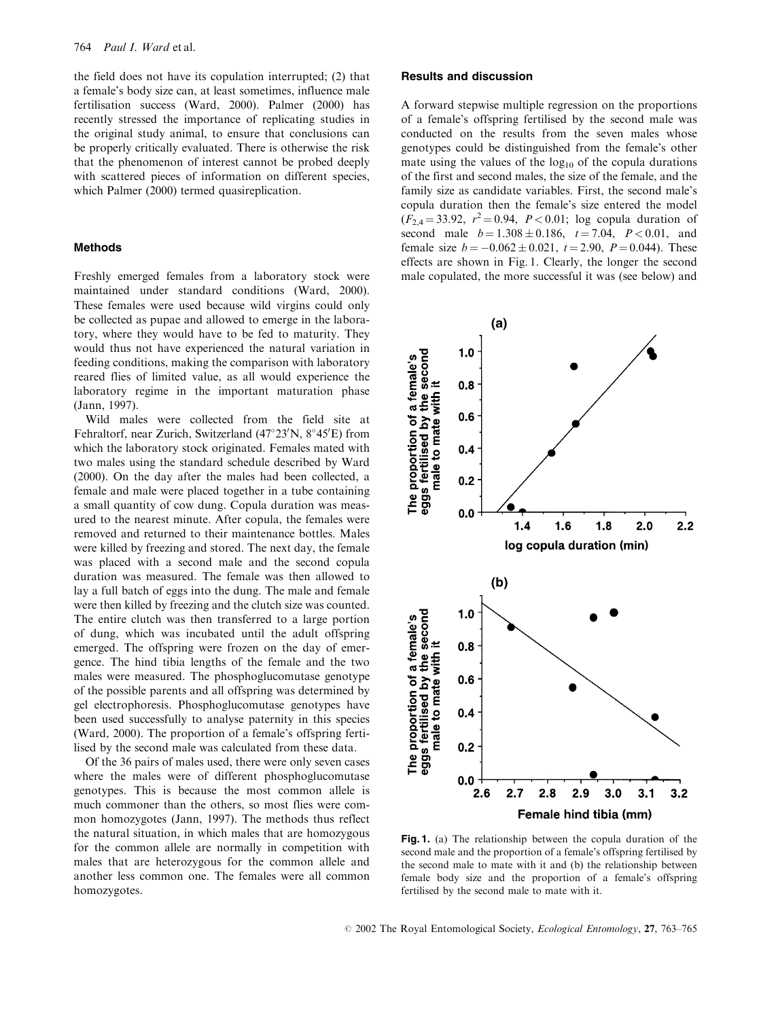the field does not have its copulation interrupted; (2) that a female's body size can, at least sometimes, influence male fertilisation success (Ward, 2000). Palmer (2000) has recently stressed the importance of replicating studies in the original study animal, to ensure that conclusions can be properly critically evaluated. There is otherwise the risk that the phenomenon of interest cannot be probed deeply with scattered pieces of information on different species, which Palmer (2000) termed quasireplication.

## **Methods**

Freshly emerged females from a laboratory stock were maintained under standard conditions (Ward, 2000). These females were used because wild virgins could only be collected as pupae and allowed to emerge in the laboratory, where they would have to be fed to maturity. They would thus not have experienced the natural variation in feeding conditions, making the comparison with laboratory reared flies of limited value, as all would experience the laboratory regime in the important maturation phase (Jann, 1997).

Wild males were collected from the field site at Fehraltorf, near Zurich, Switzerland (47°23′N, 8°45′E) from which the laboratory stock originated. Females mated with two males using the standard schedule described by Ward (2000). On the day after the males had been collected, a female and male were placed together in a tube containing a small quantity of cow dung. Copula duration was measured to the nearest minute. After copula, the females were removed and returned to their maintenance bottles. Males were killed by freezing and stored. The next day, the female was placed with a second male and the second copula duration was measured. The female was then allowed to lay a full batch of eggs into the dung. The male and female were then killed by freezing and the clutch size was counted. The entire clutch was then transferred to a large portion of dung, which was incubated until the adult offspring emerged. The offspring were frozen on the day of emergence. The hind tibia lengths of the female and the two males were measured. The phosphoglucomutase genotype of the possible parents and all offspring was determined by gel electrophoresis. Phosphoglucomutase genotypes have been used successfully to analyse paternity in this species (Ward, 2000). The proportion of a female's offspring fertilised by the second male was calculated from these data.

Of the 36 pairs of males used, there were only seven cases where the males were of different phosphoglucomutase genotypes. This is because the most common allele is much commoner than the others, so most flies were common homozygotes (Jann, 1997). The methods thus reflect the natural situation, in which males that are homozygous for the common allele are normally in competition with males that are heterozygous for the common allele and another less common one. The females were all common homozygotes.

## **Results and discussion**

A forward stepwise multiple regression on the proportions of a female's offspring fertilised by the second male was conducted on the results from the seven males whose genotypes could be distinguished from the female's other mate using the values of the  $log_{10}$  of the copula durations of the first and second males, the size of the female, and the family size as candidate variables. First, the second male's copula duration then the female's size entered the model  $(F_{2,4} = 33.92, r^2 = 0.94, P < 0.01$ ; log copula duration of second male  $b = 1.308 \pm 0.186$ ,  $t = 7.04$ ,  $P < 0.01$ , and female size  $b = -0.062 \pm 0.021$ ,  $t = 2.90$ ,  $P = 0.044$ ). These effects are shown in Fig. 1. Clearly, the longer the second male copulated, the more successful it was (see below) and



Fig. 1. (a) The relationship between the copula duration of the second male and the proportion of a female's offspring fertilised by the second male to mate with it and (b) the relationship between female body size and the proportion of a female's offspring fertilised by the second male to mate with it.